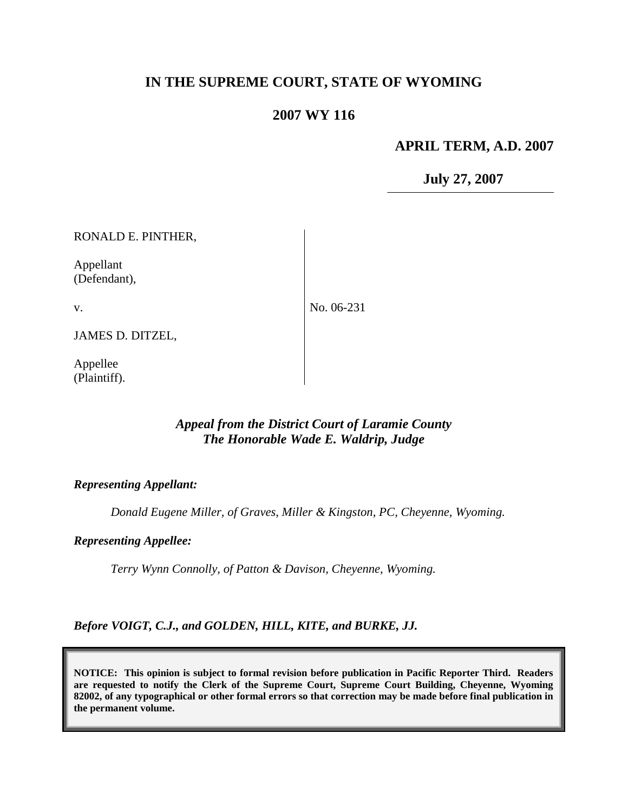# **IN THE SUPREME COURT, STATE OF WYOMING**

# **2007 WY 116**

## **APRIL TERM, A.D. 2007**

**July 27, 2007**

| RONALD E. PINTHER,        |            |
|---------------------------|------------|
| Appellant<br>(Defendant), |            |
| V.                        | No. 06-231 |
| JAMES D. DITZEL,          |            |
| Appellee<br>(Plaintiff).  |            |

# *Appeal from the District Court of Laramie County The Honorable Wade E. Waldrip, Judge*

#### *Representing Appellant:*

*Donald Eugene Miller, of Graves, Miller & Kingston, PC, Cheyenne, Wyoming.*

#### *Representing Appellee:*

*Terry Wynn Connolly, of Patton & Davison, Cheyenne, Wyoming.*

*Before VOIGT, C.J., and GOLDEN, HILL, KITE, and BURKE, JJ.*

**NOTICE: This opinion is subject to formal revision before publication in Pacific Reporter Third. Readers are requested to notify the Clerk of the Supreme Court, Supreme Court Building, Cheyenne, Wyoming 82002, of any typographical or other formal errors so that correction may be made before final publication in the permanent volume.**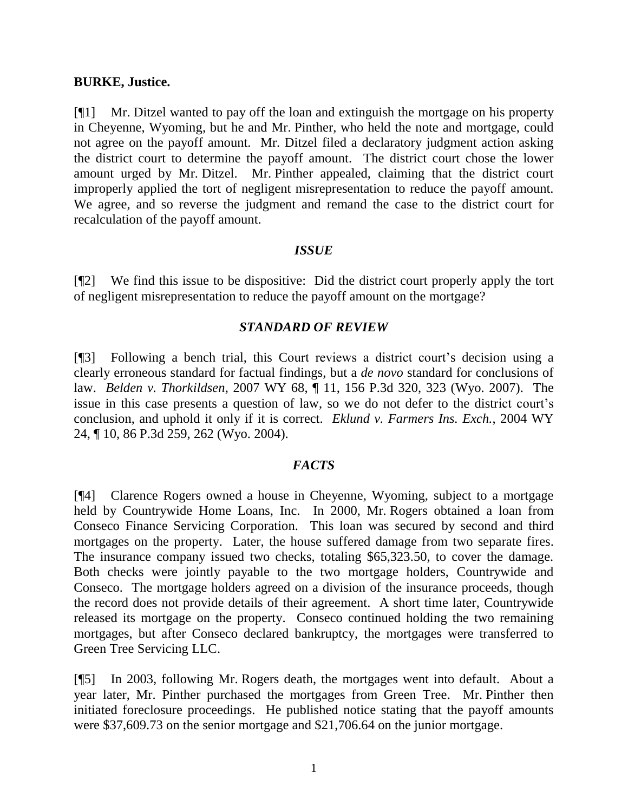### **BURKE, Justice.**

[¶1] Mr. Ditzel wanted to pay off the loan and extinguish the mortgage on his property in Cheyenne, Wyoming, but he and Mr. Pinther, who held the note and mortgage, could not agree on the payoff amount. Mr. Ditzel filed a declaratory judgment action asking the district court to determine the payoff amount. The district court chose the lower amount urged by Mr. Ditzel. Mr. Pinther appealed, claiming that the district court improperly applied the tort of negligent misrepresentation to reduce the payoff amount. We agree, and so reverse the judgment and remand the case to the district court for recalculation of the payoff amount.

## *ISSUE*

[¶2] We find this issue to be dispositive: Did the district court properly apply the tort of negligent misrepresentation to reduce the payoff amount on the mortgage?

### *STANDARD OF REVIEW*

[¶3] Following a bench trial, this Court reviews a district court's decision using a clearly erroneous standard for factual findings, but a *de novo* standard for conclusions of law. *Belden v. Thorkildsen*, 2007 WY 68, ¶ 11, 156 P.3d 320, 323 (Wyo. 2007). The issue in this case presents a question of law, so we do not defer to the district court's conclusion, and uphold it only if it is correct. *Eklund v. Farmers Ins. Exch.*, 2004 WY 24, ¶ 10, 86 P.3d 259, 262 (Wyo. 2004).

## *FACTS*

[¶4] Clarence Rogers owned a house in Cheyenne, Wyoming, subject to a mortgage held by Countrywide Home Loans, Inc. In 2000, Mr. Rogers obtained a loan from Conseco Finance Servicing Corporation. This loan was secured by second and third mortgages on the property. Later, the house suffered damage from two separate fires. The insurance company issued two checks, totaling \$65,323.50, to cover the damage. Both checks were jointly payable to the two mortgage holders, Countrywide and Conseco. The mortgage holders agreed on a division of the insurance proceeds, though the record does not provide details of their agreement. A short time later, Countrywide released its mortgage on the property. Conseco continued holding the two remaining mortgages, but after Conseco declared bankruptcy, the mortgages were transferred to Green Tree Servicing LLC.

[¶5] In 2003, following Mr. Rogers death, the mortgages went into default. About a year later, Mr. Pinther purchased the mortgages from Green Tree. Mr. Pinther then initiated foreclosure proceedings. He published notice stating that the payoff amounts were \$37,609.73 on the senior mortgage and \$21,706.64 on the junior mortgage.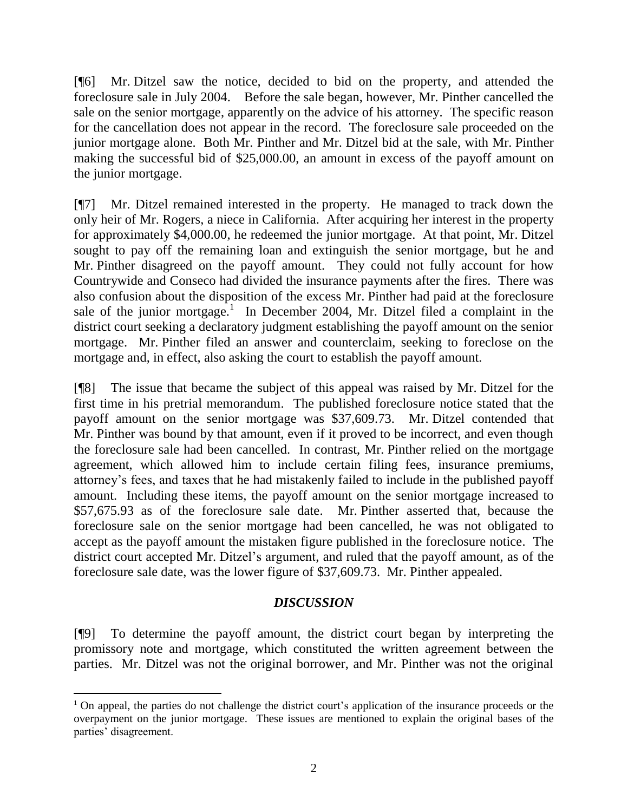[¶6] Mr. Ditzel saw the notice, decided to bid on the property, and attended the foreclosure sale in July 2004. Before the sale began, however, Mr. Pinther cancelled the sale on the senior mortgage, apparently on the advice of his attorney. The specific reason for the cancellation does not appear in the record. The foreclosure sale proceeded on the junior mortgage alone. Both Mr. Pinther and Mr. Ditzel bid at the sale, with Mr. Pinther making the successful bid of \$25,000.00, an amount in excess of the payoff amount on the junior mortgage.

[¶7] Mr. Ditzel remained interested in the property. He managed to track down the only heir of Mr. Rogers, a niece in California. After acquiring her interest in the property for approximately \$4,000.00, he redeemed the junior mortgage. At that point, Mr. Ditzel sought to pay off the remaining loan and extinguish the senior mortgage, but he and Mr. Pinther disagreed on the payoff amount. They could not fully account for how Countrywide and Conseco had divided the insurance payments after the fires. There was also confusion about the disposition of the excess Mr. Pinther had paid at the foreclosure sale of the junior mortgage.<sup>1</sup> In December 2004, Mr. Ditzel filed a complaint in the district court seeking a declaratory judgment establishing the payoff amount on the senior mortgage. Mr. Pinther filed an answer and counterclaim, seeking to foreclose on the mortgage and, in effect, also asking the court to establish the payoff amount.

[¶8] The issue that became the subject of this appeal was raised by Mr. Ditzel for the first time in his pretrial memorandum. The published foreclosure notice stated that the payoff amount on the senior mortgage was \$37,609.73. Mr. Ditzel contended that Mr. Pinther was bound by that amount, even if it proved to be incorrect, and even though the foreclosure sale had been cancelled. In contrast, Mr. Pinther relied on the mortgage agreement, which allowed him to include certain filing fees, insurance premiums, attorney"s fees, and taxes that he had mistakenly failed to include in the published payoff amount. Including these items, the payoff amount on the senior mortgage increased to \$57,675.93 as of the foreclosure sale date. Mr. Pinther asserted that, because the foreclosure sale on the senior mortgage had been cancelled, he was not obligated to accept as the payoff amount the mistaken figure published in the foreclosure notice. The district court accepted Mr. Ditzel's argument, and ruled that the payoff amount, as of the foreclosure sale date, was the lower figure of \$37,609.73. Mr. Pinther appealed.

# *DISCUSSION*

[¶9] To determine the payoff amount, the district court began by interpreting the promissory note and mortgage, which constituted the written agreement between the parties. Mr. Ditzel was not the original borrower, and Mr. Pinther was not the original

 $\overline{a}$ 

<sup>&</sup>lt;sup>1</sup> On appeal, the parties do not challenge the district court's application of the insurance proceeds or the overpayment on the junior mortgage. These issues are mentioned to explain the original bases of the parties' disagreement.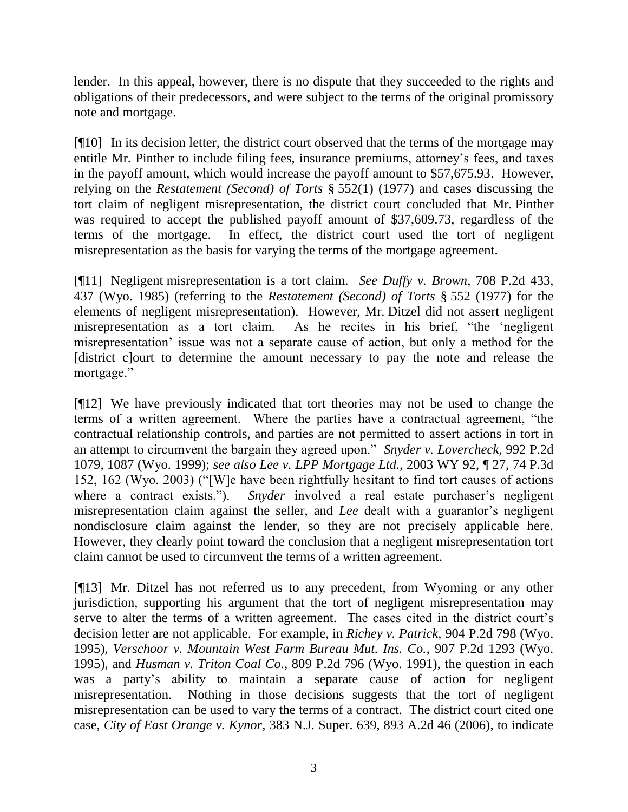lender. In this appeal, however, there is no dispute that they succeeded to the rights and obligations of their predecessors, and were subject to the terms of the original promissory note and mortgage.

[¶10] In its decision letter, the district court observed that the terms of the mortgage may entitle Mr. Pinther to include filing fees, insurance premiums, attorney"s fees, and taxes in the payoff amount, which would increase the payoff amount to \$57,675.93. However, relying on the *Restatement (Second) of Torts* § 552(1) (1977) and cases discussing the tort claim of negligent misrepresentation, the district court concluded that Mr. Pinther was required to accept the published payoff amount of \$37,609.73, regardless of the terms of the mortgage. In effect, the district court used the tort of negligent misrepresentation as the basis for varying the terms of the mortgage agreement.

[¶11] Negligent misrepresentation is a tort claim. *See Duffy v. Brown*, 708 P.2d 433, 437 (Wyo. 1985) (referring to the *Restatement (Second) of Torts* § 552 (1977) for the elements of negligent misrepresentation). However, Mr. Ditzel did not assert negligent misrepresentation as a tort claim. As he recites in his brief, "the "negligent misrepresentation' issue was not a separate cause of action, but only a method for the [district c]ourt to determine the amount necessary to pay the note and release the mortgage."

[¶12] We have previously indicated that tort theories may not be used to change the terms of a written agreement. Where the parties have a contractual agreement, "the contractual relationship controls, and parties are not permitted to assert actions in tort in an attempt to circumvent the bargain they agreed upon." *Snyder v. Lovercheck*, 992 P.2d 1079, 1087 (Wyo. 1999); *see also Lee v. LPP Mortgage Ltd.*, 2003 WY 92, ¶ 27, 74 P.3d 152, 162 (Wyo. 2003) ("[W]e have been rightfully hesitant to find tort causes of actions where a contract exists."). *Snyder* involved a real estate purchaser's negligent misrepresentation claim against the seller, and *Lee* dealt with a guarantor's negligent nondisclosure claim against the lender, so they are not precisely applicable here. However, they clearly point toward the conclusion that a negligent misrepresentation tort claim cannot be used to circumvent the terms of a written agreement.

[¶13] Mr. Ditzel has not referred us to any precedent, from Wyoming or any other jurisdiction, supporting his argument that the tort of negligent misrepresentation may serve to alter the terms of a written agreement. The cases cited in the district court's decision letter are not applicable. For example, in *Richey v. Patrick*, 904 P.2d 798 (Wyo. 1995), *Verschoor v. Mountain West Farm Bureau Mut. Ins. Co.*, 907 P.2d 1293 (Wyo. 1995), and *Husman v. Triton Coal Co.*, 809 P.2d 796 (Wyo. 1991), the question in each was a party's ability to maintain a separate cause of action for negligent misrepresentation. Nothing in those decisions suggests that the tort of negligent misrepresentation can be used to vary the terms of a contract. The district court cited one case, *City of East Orange v. Kynor*, 383 N.J. Super. 639, 893 A.2d 46 (2006), to indicate